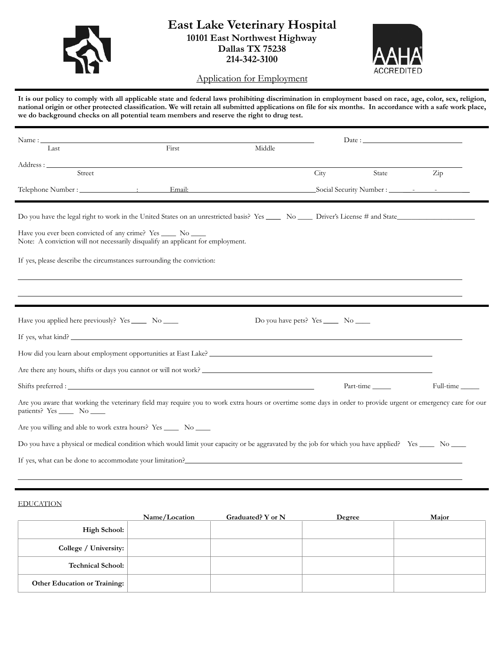

## **East Lake Veterinary Hospital 10101 East Northwest Highway Dallas TX 75238 214-342-3100**



Application for Employment

**It is our policy to comply with all applicable state and federal laws prohibiting discrimination in employment based on race, age, color, sex, religion, national origin or other protected classification. We will retain all submitted applications on file for six months. In accordance with a safe work place, we do background checks on all potential team members and reserve the right to drug test.** 

| $Name: \_$                                                     |                                                                                                                                                                |        |                                           | Date:     |                      |  |
|----------------------------------------------------------------|----------------------------------------------------------------------------------------------------------------------------------------------------------------|--------|-------------------------------------------|-----------|----------------------|--|
| Last                                                           | First                                                                                                                                                          | Middle |                                           |           |                      |  |
| Street                                                         |                                                                                                                                                                |        |                                           | State     |                      |  |
|                                                                |                                                                                                                                                                |        | City                                      |           | $\operatorname{Zip}$ |  |
|                                                                |                                                                                                                                                                |        |                                           |           |                      |  |
| Have you ever been convicted of any crime? Yes ______ No _____ | Note: A conviction will not necessarily disqualify an applicant for employment.<br>If yes, please describe the circumstances surrounding the conviction:       |        |                                           |           |                      |  |
| Have you applied here previously? Yes ______ No _____          | If yes, what kind?                                                                                                                                             |        | Do you have pets? Yes ________ No _______ |           |                      |  |
|                                                                |                                                                                                                                                                |        |                                           |           |                      |  |
|                                                                | Are there any hours, shifts or days you cannot or will not work?                                                                                               |        |                                           |           |                      |  |
|                                                                |                                                                                                                                                                |        |                                           | Part-time | Full-time            |  |
| patients? Yes ______ No _____                                  | Are you aware that working the veterinary field may require you to work extra hours or overtime some days in order to provide urgent or emergency care for our |        |                                           |           |                      |  |
|                                                                | Are you willing and able to work extra hours? Yes _______ No _____                                                                                             |        |                                           |           |                      |  |
|                                                                | Do you have a physical or medical condition which would limit your capacity or be aggravated by the job for which you have applied? Yes _____ No _____         |        |                                           |           |                      |  |
|                                                                | If yes, what can be done to accommodate your limitation?                                                                                                       |        |                                           |           |                      |  |

#### EDUCATION

|                                     | Name/Location | Graduated? Y or N | Degree | Major |
|-------------------------------------|---------------|-------------------|--------|-------|
| High School:                        |               |                   |        |       |
| College / University:               |               |                   |        |       |
| <b>Technical School:</b>            |               |                   |        |       |
| <b>Other Education or Training:</b> |               |                   |        |       |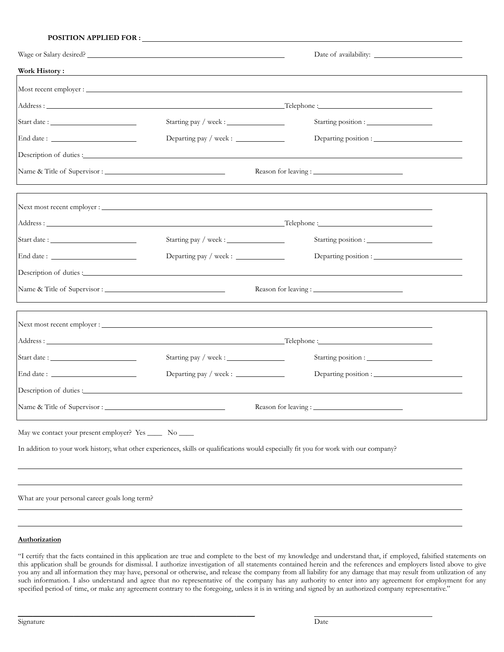### **POSITION APPLIED FOR :**

| Work History:                                                                                                                          | <u> 1989 - Johann Stoff, deutscher Stoffen und der Stoffen und der Stoffen und der Stoffen und der Stoffen und de</u> |                                                                                                                                                                                                                               |  |
|----------------------------------------------------------------------------------------------------------------------------------------|-----------------------------------------------------------------------------------------------------------------------|-------------------------------------------------------------------------------------------------------------------------------------------------------------------------------------------------------------------------------|--|
|                                                                                                                                        |                                                                                                                       |                                                                                                                                                                                                                               |  |
|                                                                                                                                        |                                                                                                                       |                                                                                                                                                                                                                               |  |
|                                                                                                                                        |                                                                                                                       | Starting position :                                                                                                                                                                                                           |  |
| End date:                                                                                                                              |                                                                                                                       |                                                                                                                                                                                                                               |  |
|                                                                                                                                        |                                                                                                                       |                                                                                                                                                                                                                               |  |
|                                                                                                                                        | Reason for leaving :                                                                                                  |                                                                                                                                                                                                                               |  |
|                                                                                                                                        |                                                                                                                       |                                                                                                                                                                                                                               |  |
|                                                                                                                                        |                                                                                                                       |                                                                                                                                                                                                                               |  |
| Start date:                                                                                                                            |                                                                                                                       |                                                                                                                                                                                                                               |  |
|                                                                                                                                        | Departing pay / week : _______________                                                                                |                                                                                                                                                                                                                               |  |
|                                                                                                                                        |                                                                                                                       | Description of duties: Note that the contract of the contract of the contract of the contract of the contract of the contract of the contract of the contract of the contract of the contract of the contract of the contract |  |
|                                                                                                                                        |                                                                                                                       |                                                                                                                                                                                                                               |  |
|                                                                                                                                        |                                                                                                                       |                                                                                                                                                                                                                               |  |
|                                                                                                                                        |                                                                                                                       |                                                                                                                                                                                                                               |  |
|                                                                                                                                        |                                                                                                                       |                                                                                                                                                                                                                               |  |
|                                                                                                                                        | Departing pay / week : _____________                                                                                  |                                                                                                                                                                                                                               |  |
|                                                                                                                                        |                                                                                                                       |                                                                                                                                                                                                                               |  |
|                                                                                                                                        |                                                                                                                       |                                                                                                                                                                                                                               |  |
| May we contact your present employer? Yes _______ No _____                                                                             |                                                                                                                       |                                                                                                                                                                                                                               |  |
| In addition to your work history, what other experiences, skills or qualifications would especially fit you for work with our company? |                                                                                                                       |                                                                                                                                                                                                                               |  |
|                                                                                                                                        |                                                                                                                       |                                                                                                                                                                                                                               |  |
|                                                                                                                                        |                                                                                                                       |                                                                                                                                                                                                                               |  |

What are your personal career goals long term?

\_\_\_\_\_\_\_\_\_\_\_\_\_\_\_\_\_\_\_\_\_\_\_\_\_\_\_\_\_\_\_\_\_\_\_\_\_\_\_\_\_\_\_\_\_\_\_\_\_\_\_\_\_\_\_\_\_\_\_\_\_\_\_\_

### **Authorization**

"I certify that the facts contained in this application are true and complete to the best of my knowledge and understand that, if employed, falsified statements on this application shall be grounds for dismissal. I authorize investigation of all statements contained herein and the references and employers listed above to give you any and all information they may have, personal or otherwise, and release the company from all liability for any damage that may result from utilization of any such information. I also understand and agree that no representative of the company has any authority to enter into any agreement for employment for any specified period of time, or make any agreement contrary to the foregoing, unless it is in writing and signed by an authorized company representative."